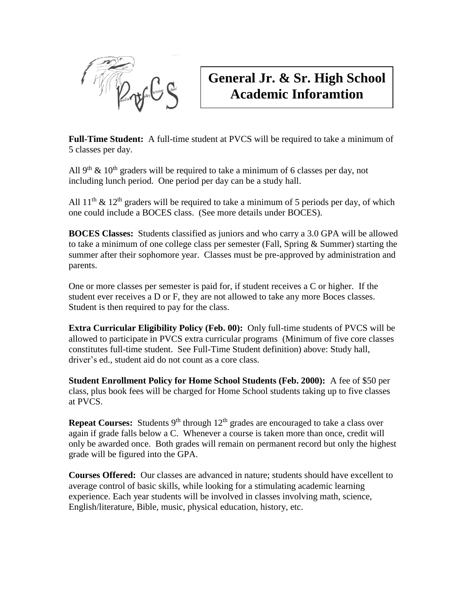

# **General Jr. & Sr. High School Academic Inforamtion**

**Full-Time Student:** A full-time student at PVCS will be required to take a minimum of 5 classes per day.

All 9<sup>th</sup> & 10<sup>th</sup> graders will be required to take a minimum of 6 classes per day, not including lunch period. One period per day can be a study hall.

All  $11^{th}$  &  $12^{th}$  graders will be required to take a minimum of 5 periods per day, of which one could include a BOCES class. (See more details under BOCES).

**BOCES Classes:** Students classified as juniors and who carry a 3.0 GPA will be allowed to take a minimum of one college class per semester (Fall, Spring & Summer) starting the summer after their sophomore year. Classes must be pre-approved by administration and parents.

One or more classes per semester is paid for, if student receives a C or higher. If the student ever receives a D or F, they are not allowed to take any more Boces classes. Student is then required to pay for the class.

**Extra Curricular Eligibility Policy (Feb. 00):** Only full-time students of PVCS will be allowed to participate in PVCS extra curricular programs (Minimum of five core classes constitutes full-time student. See Full-Time Student definition) above: Study hall, driver's ed., student aid do not count as a core class.

**Student Enrollment Policy for Home School Students (Feb. 2000):** A fee of \$50 per class, plus book fees will be charged for Home School students taking up to five classes at PVCS.

**Repeat Courses:** Students  $9<sup>th</sup>$  through  $12<sup>th</sup>$  grades are encouraged to take a class over again if grade falls below a C. Whenever a course is taken more than once, credit will only be awarded once. Both grades will remain on permanent record but only the highest grade will be figured into the GPA.

**Courses Offered:** Our classes are advanced in nature; students should have excellent to average control of basic skills, while looking for a stimulating academic learning experience. Each year students will be involved in classes involving math, science, English/literature, Bible, music, physical education, history, etc.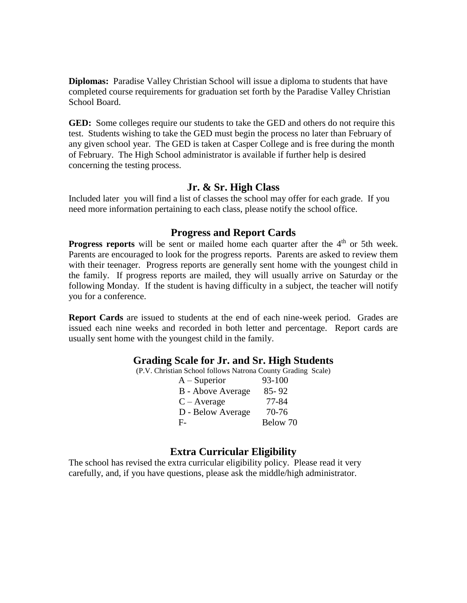**Diplomas:** Paradise Valley Christian School will issue a diploma to students that have completed course requirements for graduation set forth by the Paradise Valley Christian School Board.

**GED:** Some colleges require our students to take the GED and others do not require this test. Students wishing to take the GED must begin the process no later than February of any given school year. The GED is taken at Casper College and is free during the month of February. The High School administrator is available if further help is desired concerning the testing process.

## **Jr. & Sr. High Class**

Included later you will find a list of classes the school may offer for each grade. If you need more information pertaining to each class, please notify the school office.

#### **Progress and Report Cards**

**Progress reports** will be sent or mailed home each quarter after the 4<sup>th</sup> or 5th week. Parents are encouraged to look for the progress reports. Parents are asked to review them with their teenager. Progress reports are generally sent home with the youngest child in the family. If progress reports are mailed, they will usually arrive on Saturday or the following Monday. If the student is having difficulty in a subject, the teacher will notify you for a conference.

**Report Cards** are issued to students at the end of each nine-week period. Grades are issued each nine weeks and recorded in both letter and percentage. Report cards are usually sent home with the youngest child in the family.

#### **Grading Scale for Jr. and Sr. High Students**

(P.V. Christian School follows Natrona County Grading Scale)

| $A - Superior$    | 93-100   |
|-------------------|----------|
| B - Above Average | 85-92    |
| $C - Average$     | 77-84    |
| D - Below Average | 70-76    |
| F-                | Below 70 |

#### **Extra Curricular Eligibility**

The school has revised the extra curricular eligibility policy. Please read it very carefully, and, if you have questions, please ask the middle/high administrator.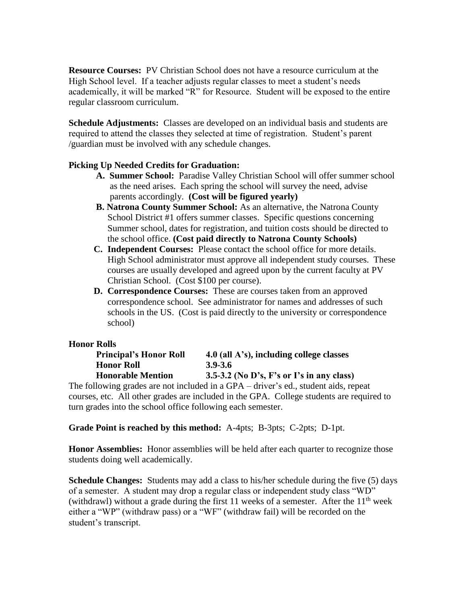**Resource Courses:** PV Christian School does not have a resource curriculum at the High School level. If a teacher adjusts regular classes to meet a student's needs academically, it will be marked "R" for Resource. Student will be exposed to the entire regular classroom curriculum.

**Schedule Adjustments:** Classes are developed on an individual basis and students are required to attend the classes they selected at time of registration. Student's parent /guardian must be involved with any schedule changes.

## **Picking Up Needed Credits for Graduation:**

- **A. Summer School:** Paradise Valley Christian School will offer summer school as the need arises. Each spring the school will survey the need, advise parents accordingly. **(Cost will be figured yearly)**
- **B. Natrona County Summer School:** As an alternative, the Natrona County School District #1 offers summer classes. Specific questions concerning Summer school, dates for registration, and tuition costs should be directed to the school office. **(Cost paid directly to Natrona County Schools)**
- **C. Independent Courses:** Please contact the school office for more details. High School administrator must approve all independent study courses. These courses are usually developed and agreed upon by the current faculty at PV Christian School. (Cost \$100 per course).
- **D. Correspondence Courses:** These are courses taken from an approved correspondence school. See administrator for names and addresses of such schools in the US. (Cost is paid directly to the university or correspondence school)

#### **Honor Rolls**

| <b>Principal's Honor Roll</b> | $4.0$ (all A's), including college classes |
|-------------------------------|--------------------------------------------|
| <b>Honor Roll</b>             | 3.9-3.6                                    |
| <b>Honorable Mention</b>      | 3.5-3.2 (No D's, F's or I's in any class)  |

The following grades are not included in a GPA – driver's ed., student aids, repeat courses, etc. All other grades are included in the GPA. College students are required to turn grades into the school office following each semester.

**Grade Point is reached by this method:** A-4pts; B-3pts; C-2pts; D-1pt.

**Honor Assemblies:** Honor assemblies will be held after each quarter to recognize those students doing well academically.

**Schedule Changes:** Students may add a class to his/her schedule during the five (5) days of a semester. A student may drop a regular class or independent study class "WD" (withdrawl) without a grade during the first 11 weeks of a semester. After the  $11<sup>th</sup>$  week either a "WP" (withdraw pass) or a "WF" (withdraw fail) will be recorded on the student's transcript.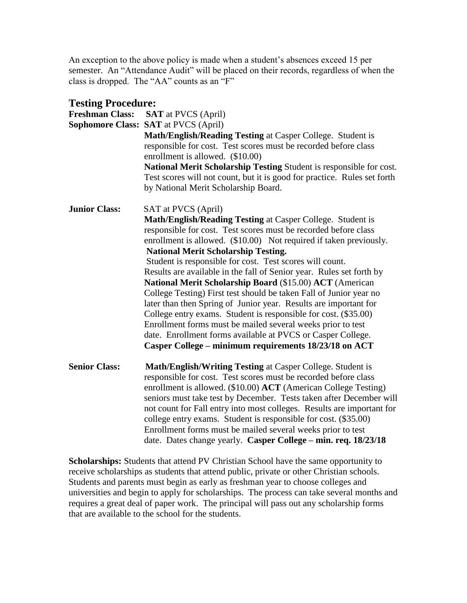An exception to the above policy is made when a student's absences exceed 15 per semester. An "Attendance Audit" will be placed on their records, regardless of when the class is dropped. The "AA" counts as an "F"

| <b>Testing Procedure:</b> |                                                                                                                                                                                                                                                                                                                                                                                                                                                                                                                                                                                                                                                                                                                                                                                                                                                       |  |  |
|---------------------------|-------------------------------------------------------------------------------------------------------------------------------------------------------------------------------------------------------------------------------------------------------------------------------------------------------------------------------------------------------------------------------------------------------------------------------------------------------------------------------------------------------------------------------------------------------------------------------------------------------------------------------------------------------------------------------------------------------------------------------------------------------------------------------------------------------------------------------------------------------|--|--|
| <b>Freshman Class:</b>    | <b>SAT</b> at PVCS (April)                                                                                                                                                                                                                                                                                                                                                                                                                                                                                                                                                                                                                                                                                                                                                                                                                            |  |  |
|                           | <b>Sophomore Class: SAT at PVCS (April)</b>                                                                                                                                                                                                                                                                                                                                                                                                                                                                                                                                                                                                                                                                                                                                                                                                           |  |  |
|                           | Math/English/Reading Testing at Casper College. Student is<br>responsible for cost. Test scores must be recorded before class<br>enrollment is allowed. (\$10.00)<br>National Merit Scholarship Testing Student is responsible for cost.<br>Test scores will not count, but it is good for practice. Rules set forth<br>by National Merit Scholarship Board.                                                                                                                                                                                                                                                                                                                                                                                                                                                                                          |  |  |
| <b>Junior Class:</b>      | SAT at PVCS (April)                                                                                                                                                                                                                                                                                                                                                                                                                                                                                                                                                                                                                                                                                                                                                                                                                                   |  |  |
|                           | Math/English/Reading Testing at Casper College. Student is<br>responsible for cost. Test scores must be recorded before class<br>enrollment is allowed. (\$10.00) Not required if taken previously.<br><b>National Merit Scholarship Testing.</b><br>Student is responsible for cost. Test scores will count.<br>Results are available in the fall of Senior year. Rules set forth by<br>National Merit Scholarship Board (\$15.00) ACT (American<br>College Testing) First test should be taken Fall of Junior year no<br>later than then Spring of Junior year. Results are important for<br>College entry exams. Student is responsible for cost. (\$35.00)<br>Enrollment forms must be mailed several weeks prior to test<br>date. Enrollment forms available at PVCS or Casper College.<br>Casper College - minimum requirements 18/23/18 on ACT |  |  |
| <b>Senior Class:</b>      | Math/English/Writing Testing at Casper College. Student is<br>responsible for cost. Test scores must be recorded before class<br>enrollment is allowed. (\$10.00) ACT (American College Testing)<br>seniors must take test by December. Tests taken after December will<br>not count for Fall entry into most colleges. Results are important for<br>college entry exams. Student is responsible for cost. (\$35.00)<br>Enrollment forms must be mailed several weeks prior to test<br>date. Dates change yearly. Casper College - min. req. 18/23/18                                                                                                                                                                                                                                                                                                 |  |  |

**Scholarships:** Students that attend PV Christian School have the same opportunity to receive scholarships as students that attend public, private or other Christian schools. Students and parents must begin as early as freshman year to choose colleges and universities and begin to apply for scholarships. The process can take several months and requires a great deal of paper work. The principal will pass out any scholarship forms that are available to the school for the students.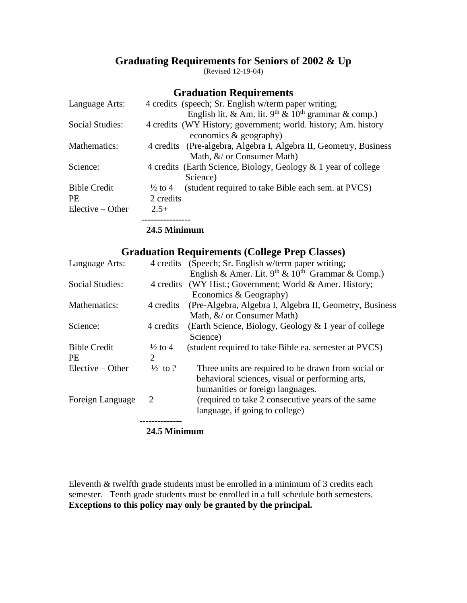## **Graduating Requirements for Seniors of 2002 & Up**

(Revised 12-19-04)

## **Graduation Requirements**

| Language Arts:      |                    | 4 credits (speech; Sr. English w/term paper writing;              |
|---------------------|--------------------|-------------------------------------------------------------------|
|                     |                    | English lit. & Am. lit. $9th$ & $10th$ grammar & comp.)           |
| Social Studies:     |                    | 4 credits (WY History; government; world. history; Am. history    |
|                     |                    | economics $\&$ geography)                                         |
| Mathematics:        | 4 credits          | (Pre-algebra, Algebra I, Algebra II, Geometry, Business           |
|                     |                    | Math, &/ or Consumer Math)                                        |
| Science:            |                    | 4 credits (Earth Science, Biology, Geology $\&$ 1 year of college |
|                     |                    | Science)                                                          |
| <b>Bible Credit</b> | $\frac{1}{2}$ to 4 | (student required to take Bible each sem. at PVCS)                |
| <b>PE</b>           | 2 credits          |                                                                   |
| $Electric - Other$  | $2.5+$             |                                                                   |
|                     |                    |                                                                   |

#### **24.5 Minimum**

## **Graduation Requirements (College Prep Classes)**

| Language Arts:         |                             | 4 credits (Speech; Sr. English w/term paper writing;    |  |
|------------------------|-----------------------------|---------------------------------------------------------|--|
|                        |                             | English & Amer. Lit. $9th$ & $10th$ Grammar & Comp.)    |  |
| <b>Social Studies:</b> |                             | 4 credits (WY Hist.; Government; World & Amer. History; |  |
|                        |                             | Economics & Geography)                                  |  |
| Mathematics:           | 4 credits                   | (Pre-Algebra, Algebra I, Algebra II, Geometry, Business |  |
|                        |                             | Math, $\&/$ or Consumer Math)                           |  |
| Science:               | 4 credits                   | (Earth Science, Biology, Geology & 1 year of college    |  |
|                        |                             | Science)                                                |  |
| <b>Bible Credit</b>    | $\frac{1}{2}$ to 4          | (student required to take Bible ea. semester at PVCS)   |  |
| <b>PE</b>              | $\mathcal{D}_{\mathcal{L}}$ |                                                         |  |
| $Elective - Other$     | $\frac{1}{2}$ to ?          | Three units are required to be drawn from social or     |  |
|                        |                             | behavioral sciences, visual or performing arts,         |  |
|                        |                             | humanities or foreign languages.                        |  |
| Foreign Language       | 2                           | (required to take 2 consecutive years of the same       |  |
|                        |                             | language, if going to college)                          |  |
|                        |                             |                                                         |  |

#### **24.5 Minimum**

Eleventh & twelfth grade students must be enrolled in a minimum of 3 credits each semester. Tenth grade students must be enrolled in a full schedule both semesters. **Exceptions to this policy may only be granted by the principal.**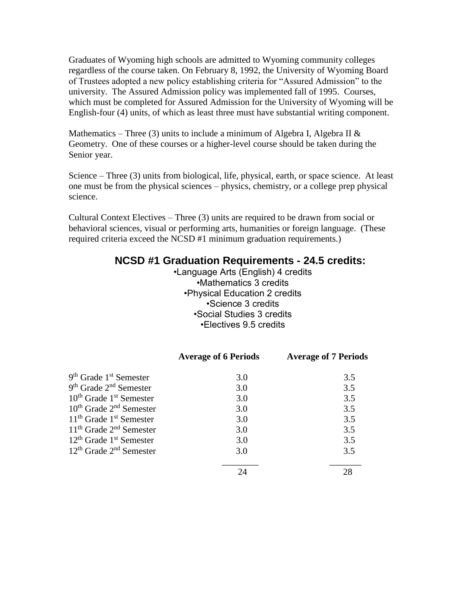Graduates of Wyoming high schools are admitted to Wyoming community colleges regardless of the course taken. On February 8, 1992, the University of Wyoming Board of Trustees adopted a new policy establishing criteria for "Assured Admission" to the university. The Assured Admission policy was implemented fall of 1995. Courses, which must be completed for Assured Admission for the University of Wyoming will be English-four (4) units, of which as least three must have substantial writing component.

Mathematics – Three (3) units to include a minimum of Algebra I, Algebra II  $\&$ Geometry. One of these courses or a higher-level course should be taken during the Senior year.

Science – Three (3) units from biological, life, physical, earth, or space science. At least one must be from the physical sciences – physics, chemistry, or a college prep physical science.

Cultural Context Electives – Three (3) units are required to be drawn from social or behavioral sciences, visual or performing arts, humanities or foreign language. (These required criteria exceed the NCSD #1 minimum graduation requirements.)

## **NCSD #1 Graduation Requirements - 24.5 credits:**

 •Language Arts (English) 4 credits •Mathematics 3 credits •Physical Education 2 credits •Science 3 credits •Social Studies 3 credits •Electives 9.5 credits

|                                   | <b>Average of 6 Periods</b> | <b>Average of 7 Periods</b> |
|-----------------------------------|-----------------------------|-----------------------------|
| $9th$ Grade $1st$ Semester        | 3.0                         | 3.5                         |
| $9th$ Grade $2nd$ Semester        | 3.0                         | 3.5                         |
| $10^{th}$ Grade $1^{st}$ Semester | 3.0                         | 3.5                         |
| $10^{th}$ Grade $2^{nd}$ Semester | 3.0                         | 3.5                         |
| $11th$ Grade $1st$ Semester       | 3.0                         | 3.5                         |
| $11th$ Grade $2nd$ Semester       | 3.0                         | 3.5                         |
| $12th$ Grade $1st$ Semester       | 3.0                         | 3.5                         |
| $12th$ Grade $2nd$ Semester       | 3.0                         | 3.5                         |
|                                   |                             | 28                          |